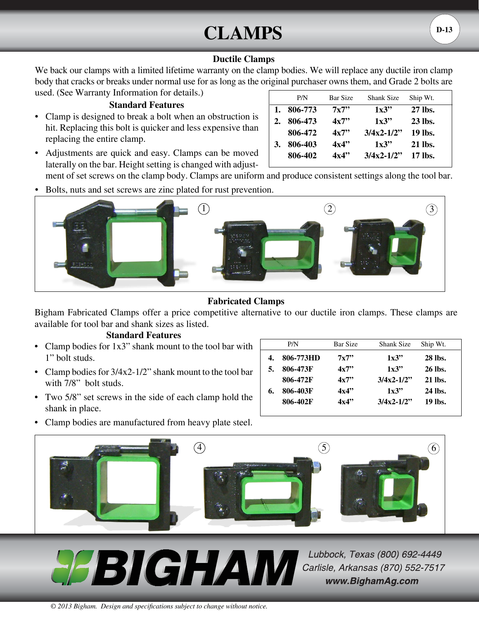# $CLAMPS$   $(D-13)$

## **Ductile Clamps**

We back our clamps with a limited lifetime warranty on the clamp bodies. We will replace any ductile iron clamp body that cracks or breaks under normal use for as long as the original purchaser owns them, and Grade 2 bolts are used. (See Warranty Information for details.)

## **Standard Features**

• Clamp is designed to break a bolt when an obstruction is hit. Replacing this bolt is quicker and less expensive than replacing the entire clamp.

| Adjustments are quick and easy. Clamps can be moved          |  |  |  |
|--------------------------------------------------------------|--|--|--|
| laterally on the bar. Height setting is changed with adjust- |  |  |  |
|                                                              |  |  |  |

|    | P/N     | <b>Bar Size</b> | <b>Shank Size</b> | Ship Wt.       |
|----|---------|-----------------|-------------------|----------------|
| 1. | 806-773 | 7x7"            | 1x3"              | 27 lbs.        |
| 2. | 806-473 | 4x7"            | 1x3"              | 23 lbs.        |
|    | 806-472 | 4x7"            | $3/4x^2-1/2"$     | 19 lbs.        |
| 3. | 806-403 | 4x4"            | 1x3"              | 21 lbs.        |
|    | 806-402 | 4x4"            | $3/4x^2-1/2$      | <b>17 lbs.</b> |

ment of set screws on the clamp body. Clamps are uniform and produce consistent settings along the tool bar.

Bolts, nuts and set screws are zinc plated for rust prevention.



# **Fabricated Clamps**

Bigham Fabricated Clamps offer a price competitive alternative to our ductile iron clamps. These clamps are available for tool bar and shank sizes as listed.

#### **Standard Features**

- Clamp bodies for 1x3" shank mount to the tool bar with 1" bolt studs.
- Clamp bodies for  $3/4x^2-1/2$ " shank mount to the tool bar with 7/8" bolt studs.
- Two 5/8" set screws in the side of each clamp hold the shank in place.

|    | P/N       | <b>Bar Size</b> | <b>Shank Size</b> | Ship Wt.       |
|----|-----------|-----------------|-------------------|----------------|
|    | 806-773HD | 7x7"            | 1x3"              | <b>28 lbs.</b> |
|    | 806-473F  | 4x7"            | 1x3"              | 26 lbs.        |
|    | 806-472F  | 4x7"            | $3/4x^2-1/2$      | 21 lbs.        |
| 6. | 806-403F  | 4x4"            | 1x3"              | 24 lbs.        |
|    | 806-402F  | 4x4"            | $3/4x^2-1/2$      | 19 lbs.        |

• Clamp bodies are manufactured from heavy plate steel.



**PABIGHAM** 

Lubbock, Texas (800) 692-4449 Carlisle, Arkansas (870) 552-7517 www.BighamAg.com